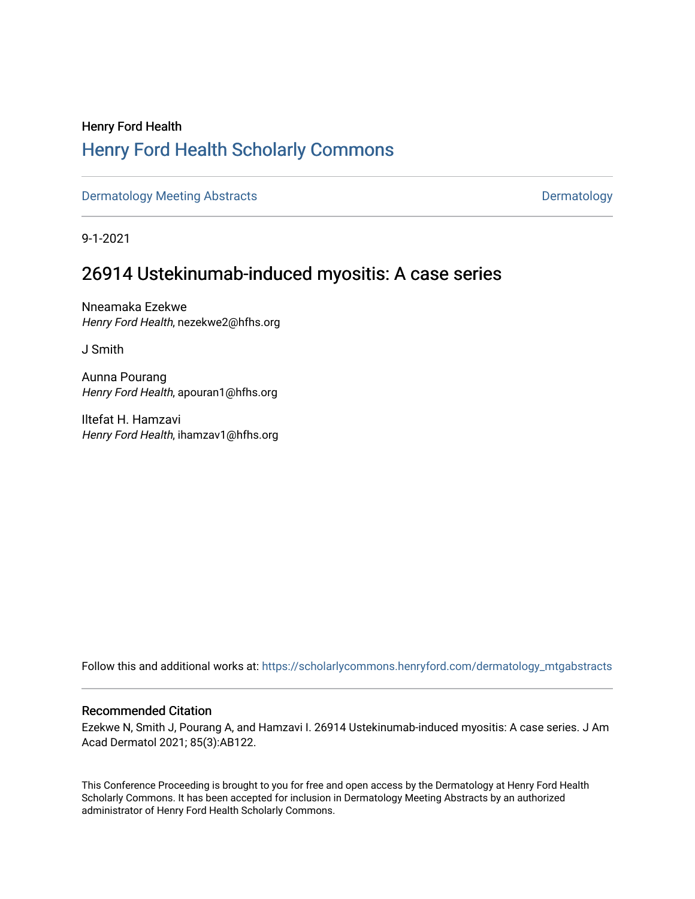# Henry Ford Health [Henry Ford Health Scholarly Commons](https://scholarlycommons.henryford.com/)

[Dermatology Meeting Abstracts](https://scholarlycommons.henryford.com/dermatology_mtgabstracts) **Dermatology** 

9-1-2021

# 26914 Ustekinumab-induced myositis: A case series

Nneamaka Ezekwe Henry Ford Health, nezekwe2@hfhs.org

J Smith

Aunna Pourang Henry Ford Health, apouran1@hfhs.org

Iltefat H. Hamzavi Henry Ford Health, ihamzav1@hfhs.org

Follow this and additional works at: [https://scholarlycommons.henryford.com/dermatology\\_mtgabstracts](https://scholarlycommons.henryford.com/dermatology_mtgabstracts?utm_source=scholarlycommons.henryford.com%2Fdermatology_mtgabstracts%2F161&utm_medium=PDF&utm_campaign=PDFCoverPages) 

## Recommended Citation

Ezekwe N, Smith J, Pourang A, and Hamzavi I. 26914 Ustekinumab-induced myositis: A case series. J Am Acad Dermatol 2021; 85(3):AB122.

This Conference Proceeding is brought to you for free and open access by the Dermatology at Henry Ford Health Scholarly Commons. It has been accepted for inclusion in Dermatology Meeting Abstracts by an authorized administrator of Henry Ford Health Scholarly Commons.